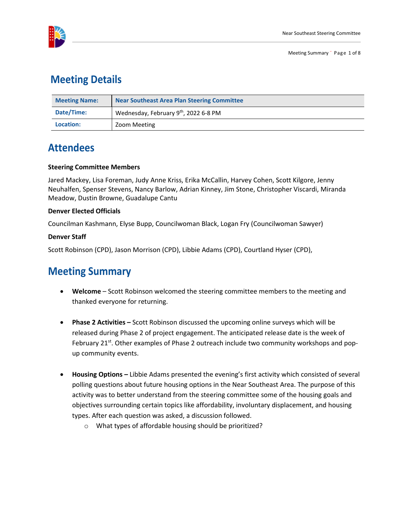

### **Meeting Details**

| <b>Meeting Name:</b> | <b>Near Southeast Area Plan Steering Committee</b> |  |
|----------------------|----------------------------------------------------|--|
| Date/Time:           | Wednesday, February 9th, 2022 6-8 PM               |  |
| Location:            | Zoom Meeting                                       |  |

# **Attendees**

#### **Steering Committee Members**

Jared Mackey, Lisa Foreman, Judy Anne Kriss, Erika McCallin, Harvey Cohen, Scott Kilgore, Jenny Neuhalfen, Spenser Stevens, Nancy Barlow, Adrian Kinney, Jim Stone, Christopher Viscardi, Miranda Meadow, Dustin Browne, Guadalupe Cantu

### **Denver Elected Officials**

Councilman Kashmann, Elyse Bupp, Councilwoman Black, Logan Fry (Councilwoman Sawyer)

### **Denver Staff**

Scott Robinson (CPD), Jason Morrison (CPD), Libbie Adams (CPD), Courtland Hyser (CPD),

# **Meeting Summary**

- **Welcome** Scott Robinson welcomed the steering committee members to the meeting and thanked everyone for returning.
- **Phase 2 Activities –** Scott Robinson discussed the upcoming online surveys which will be released during Phase 2 of project engagement. The anticipated release date is the week of February 21<sup>st</sup>. Other examples of Phase 2 outreach include two community workshops and popup community events.
- **Housing Options –** Libbie Adams presented the evening's first activity which consisted of several polling questions about future housing options in the Near Southeast Area. The purpose of this activity was to better understand from the steering committee some of the housing goals and objectives surrounding certain topics like affordability, involuntary displacement, and housing types. After each question was asked, a discussion followed.
	- o What types of affordable housing should be prioritized?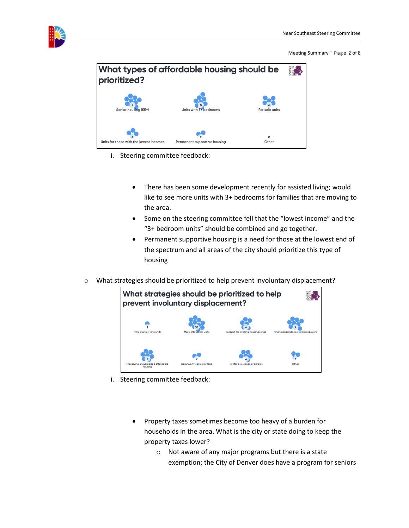

Meeting Summary ¨ Page 2 of 8



- i. Steering committee feedback:
	- There has been some development recently for assisted living; would like to see more units with 3+ bedrooms for families that are moving to the area.
	- Some on the steering committee fell that the "lowest income" and the "3+ bedroom units" should be combined and go together.
	- Permanent supportive housing is a need for those at the lowest end of the spectrum and all areas of the city should prioritize this type of housing
- o What strategies should be prioritized to help prevent involuntary displacement?



- i. Steering committee feedback:
	- Property taxes sometimes become too heavy of a burden for households in the area. What is the city or state doing to keep the property taxes lower?
		- o Not aware of any major programs but there is a state exemption; the City of Denver does have a program for seniors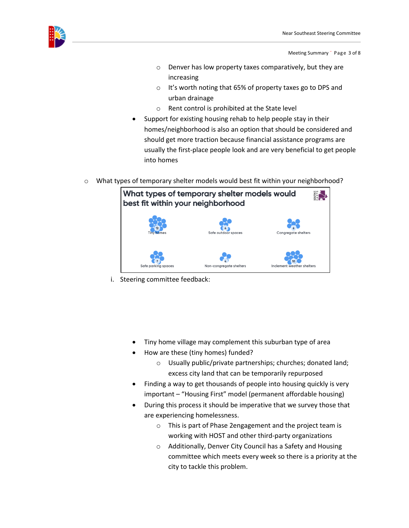

Meeting Summary ¨ Page 3 of 8

- o Denver has low property taxes comparatively, but they are increasing
- o It's worth noting that 65% of property taxes go to DPS and urban drainage
- o Rent control is prohibited at the State level
- Support for existing housing rehab to help people stay in their homes/neighborhood is also an option that should be considered and should get more traction because financial assistance programs are usually the first-place people look and are very beneficial to get people into homes
- $\circ$  What types of temporary shelter models would best fit within your neighborhood?

| What types of temporary shelter models would<br>best fit within your neighborhood |                         |                            |  |  |
|-----------------------------------------------------------------------------------|-------------------------|----------------------------|--|--|
| <b>Tiny homes</b>                                                                 | Safe outdoor spaces     | <b>Congregate shelters</b> |  |  |
| Safe parking spaces                                                               | Non-congregate shelters | Inclement weather shelters |  |  |

i. Steering committee feedback:

- Tiny home village may complement this suburban type of area
- How are these (tiny homes) funded?
	- o Usually public/private partnerships; churches; donated land; excess city land that can be temporarily repurposed
- Finding a way to get thousands of people into housing quickly is very important – "Housing First" model (permanent affordable housing)
- During this process it should be imperative that we survey those that are experiencing homelessness.
	- o This is part of Phase 2engagement and the project team is working with HOST and other third-party organizations
	- o Additionally, Denver City Council has a Safety and Housing committee which meets every week so there is a priority at the city to tackle this problem.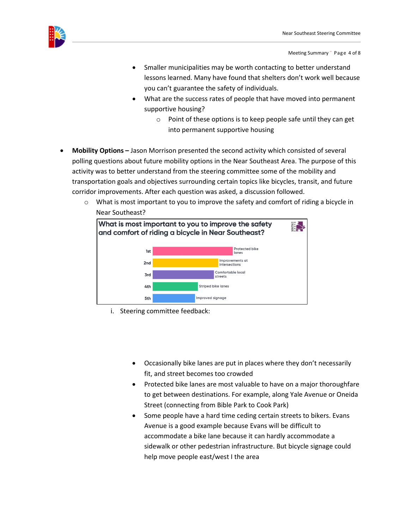

Meeting Summary ¨ Page 4 of 8

- Smaller municipalities may be worth contacting to better understand lessons learned. Many have found that shelters don't work well because you can't guarantee the safety of individuals.
- What are the success rates of people that have moved into permanent supportive housing?
	- $\circ$  Point of these options is to keep people safe until they can get into permanent supportive housing
- **Mobility Options** Jason Morrison presented the second activity which consisted of several polling questions about future mobility options in the Near Southeast Area. The purpose of this activity was to better understand from the steering committee some of the mobility and transportation goals and objectives surrounding certain topics like bicycles, transit, and future corridor improvements. After each question was asked, a discussion followed.
	- $\circ$  What is most important to you to improve the safety and comfort of riding a bicycle in Near Southeast?



- i. Steering committee feedback:
	- Occasionally bike lanes are put in places where they don't necessarily fit, and street becomes too crowded
	- Protected bike lanes are most valuable to have on a major thoroughfare to get between destinations. For example, along Yale Avenue or Oneida Street (connecting from Bible Park to Cook Park)
	- Some people have a hard time ceding certain streets to bikers. Evans Avenue is a good example because Evans will be difficult to accommodate a bike lane because it can hardly accommodate a sidewalk or other pedestrian infrastructure. But bicycle signage could help move people east/west I the area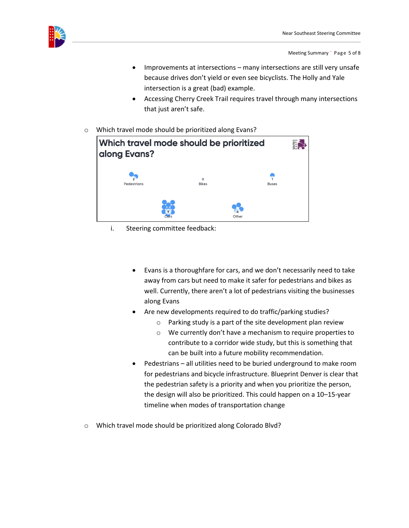

Meeting Summary ¨ Page 5 of 8

- Improvements at intersections many intersections are still very unsafe because drives don't yield or even see bicyclists. The Holly and Yale intersection is a great (bad) example.
- Accessing Cherry Creek Trail requires travel through many intersections that just aren't safe.
- o Which travel mode should be prioritized along Evans?



- i. Steering committee feedback:
	- Evans is a thoroughfare for cars, and we don't necessarily need to take away from cars but need to make it safer for pedestrians and bikes as well. Currently, there aren't a lot of pedestrians visiting the businesses along Evans
	- Are new developments required to do traffic/parking studies?
		- o Parking study is a part of the site development plan review
		- o We currently don't have a mechanism to require properties to contribute to a corridor wide study, but this is something that can be built into a future mobility recommendation.
	- Pedestrians all utilities need to be buried underground to make room for pedestrians and bicycle infrastructure. Blueprint Denver is clear that the pedestrian safety is a priority and when you prioritize the person, the design will also be prioritized. This could happen on a 10–15-year timeline when modes of transportation change
- o Which travel mode should be prioritized along Colorado Blvd?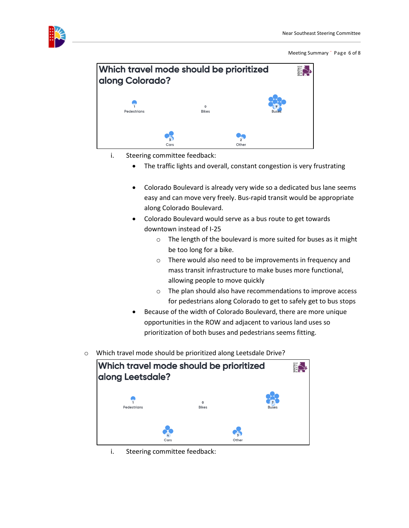

Meeting Summary ¨ Page 6 of 8



- i. Steering committee feedback:
	- The traffic lights and overall, constant congestion is very frustrating
	- Colorado Boulevard is already very wide so a dedicated bus lane seems easy and can move very freely. Bus-rapid transit would be appropriate along Colorado Boulevard.
	- Colorado Boulevard would serve as a bus route to get towards downtown instead of I-25
		- o The length of the boulevard is more suited for buses as it might be too long for a bike.
		- o There would also need to be improvements in frequency and mass transit infrastructure to make buses more functional, allowing people to move quickly
		- o The plan should also have recommendations to improve access for pedestrians along Colorado to get to safely get to bus stops
	- Because of the width of Colorado Boulevard, there are more unique opportunities in the ROW and adjacent to various land uses so prioritization of both buses and pedestrians seems fitting.
- o Which travel mode should be prioritized along Leetsdale Drive?

| Which travel mode should be prioritized<br>along Leetsdale? |                         |              |  |
|-------------------------------------------------------------|-------------------------|--------------|--|
| Pedestrians                                                 | $\circ$<br><b>Bikes</b> | <b>Buses</b> |  |
| Cars                                                        |                         | Other        |  |

i. Steering committee feedback: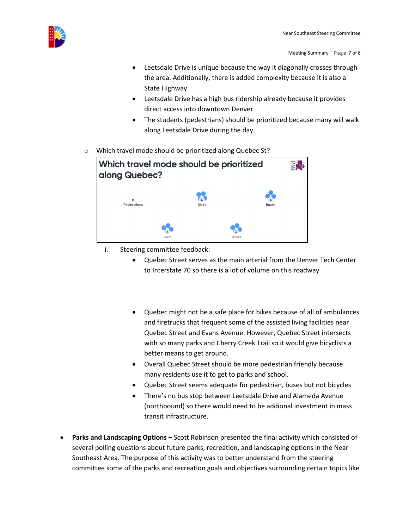

Meeting Summary ¨ Page 7 of 8

- Leetsdale Drive is unique because the way it diagonally crosses through the area. Additionally, there is added complexity because it is also a State Highway.
- Leetsdale Drive has a high bus ridership already because it provides direct access into downtown Denver
- The students (pedestrians) should be prioritized because many will walk along Leetsdale Drive during the day.
- o Which travel mode should be prioritized along Quebec St?

| Which travel mode should be prioritized<br>along Quebec? |              |              |  |
|----------------------------------------------------------|--------------|--------------|--|
| $\Omega$<br>Pedestrians                                  | <b>Bikes</b> | <b>Buses</b> |  |
| Cars                                                     | Other        |              |  |

- i. Steering committee feedback:
	- Quebec Street serves as the main arterial from the Denver Tech Center to Interstate 70 so there is a lot of volume on this roadway
	- Quebec might not be a safe place for bikes because of all of ambulances and firetrucks that frequent some of the assisted living facilities near Quebec Street and Evans Avenue. However, Quebec Street intersects with so many parks and Cherry Creek Trail so it would give bicyclists a better means to get around.
	- Overall Quebec Street should be more pedestrian friendly because many residents use it to get to parks and school.
	- Quebec Street seems adequate for pedestrian, buses but not bicycles
	- There's no bus stop between Leetsdale Drive and Alameda Avenue (northbound) so there would need to be addional investment in mass transit infrastructure.
- **Parks and Landscaping Options** Scott Robinson presented the final activity which consisted of several polling questions about future parks, recreation, and landscaping options in the Near Southeast Area. The purpose of this activity was to better understand from the steering committee some of the parks and recreation goals and objectives surrounding certain topics like